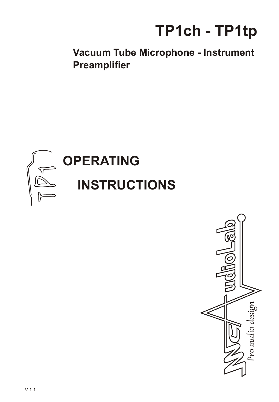

**Vacuum Tube Microphone - Instrument Preamplifier**



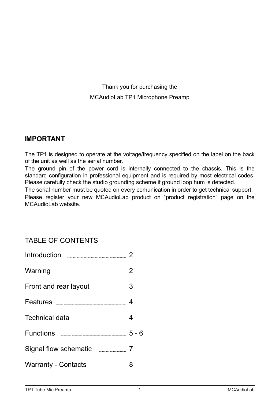Thank you for purchasing the MCAudioLab TP1 Microphone Preamp

### **IMPORTANT**

The TP1 is designed to operate at the voltage/frequency specified on the label on the back of the unit as well as the serial number.

The ground pin of the power cord is internally connected to the chassis. This is the standard configuration in professional equipment and is required by most electrical codes. Please carefully check the studio grounding scheme if ground loop hum is detected.

The serial number must be quoted on every comunication in order to get technical support. Please register your new MCAudioLab product on "product registration" page on the MCAudioLab website.

# TABLE OF CONTENTS

| Introduction 2                               |  |
|----------------------------------------------|--|
| Warning <u>___________________________</u> 2 |  |
| Front and rear layout 3                      |  |
|                                              |  |
|                                              |  |
|                                              |  |
| Signal flow schematic ____________ 7         |  |
| Warranty - Contacts ______________ 8         |  |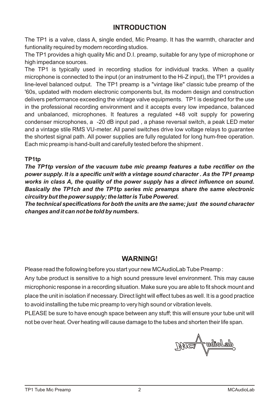# **INTRODUCTION**

The TP1 is a valve, class A, single ended, Mic Preamp. It has the warmth, character and funtionality required by modern recording studios.

The TP1 provides a high quality Mic and D.I. preamp, suitable for any type of microphone or high impedance sources.

The TP1 is typically used in recording studios for individual tracks. When a quality microphone is connected to the input (or an instrument to the Hi-Z input), the TP1 provides a line-level balanced output. The TP1 preamp is a "vintage like" classic tube preamp of the '60s, updated with modern electronic components but, its modern design and construction delivers performance exceeding the vintage valve equipments. TP1 is designed for the use in the professional recording environment and it accepts every low impedance, balanced and unbalanced, microphones. It features a regulated +48 volt supply for powering condenser microphones, a -20 dB input pad , a phase reversal switch, a peak LED meter and a vintage stile RMS VU-meter. All panel switches drive low voltage relays to guarantee the shortest signal path. All power supplies are fully regulated for long hum-free operation. Each mic preamp is hand-built and carefully tested before the shipment .

#### **TP1tp**

*The TP1tp version of the vacuum tube mic preamp features a tube rectifier on the power supply. It is a specific unit with a vintage sound character . As the TP1 preamp works in class A, the quality of the power supply has a direct influence on sound. Basically the TP1ch and the TP1tp series mic preamps share the same electronic circuitry but the power supply; the latter is Tube Powered.*

*The technical specifications for both the units are the same; just the sound character changes and it can not be told by numbers.* 

### **WARNING!**

Please read the following before you start your new MCAudioLab Tube Preamp:

Any tube product is sensitive to a high sound pressure level environment. This may cause microphonic response in a recording situation. Make sure you are able to fit shock mount and place the unit in isolation if necessary. Direct light will effect tubes as well. It is a good practice to avoid installing the tube mic preamp to very high sound or vibration levels.

PLEASE be sure to have enough space between any stuff; this will ensure your tube unit will not be over heat. Over heating will cause damage to the tubes and shorten their life span.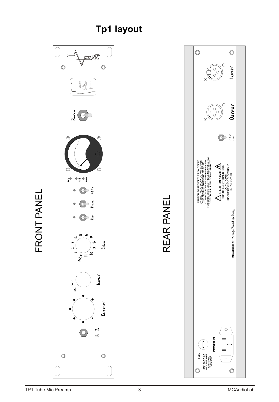

# **Tp1 layout**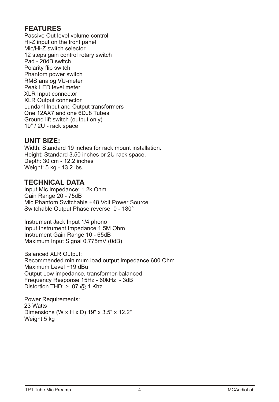# **FEATURES**

Passive Out level volume control Hi-Z input on the front panel Mic/Hi-Z switch selector 12 steps gain control rotary switch Pad - 20dB switch Polarity flip switch Phantom power switch RMS analog VU-meter Peak LED level meter XLR Input connector XLR Output connector Lundahl Input and Output transformers One 12AX7 and one 6DJ8 Tubes Ground lift switch (output only) 19" / 2U - rack space

### **UNIT SIZE:**

Width: Standard 19 inches for rack mount installation. Height: Standard 3.50 inches or 2U rack space. Depth: 30 cm - 12.2 inches Weight: 5 kg - 13.2 lbs.

# **TECHNICAL DATA**

Input Mic Impedance: 1.2k Ohm Gain Range 20 - 75dB Mic Phantom Switchable +48 Volt Power Source Switchable Output Phase reverse 0 - 180°

Instrument Jack Input 1/4 phono Input Instrument Impedance 1.5M Ohm Instrument Gain Range 10 - 65dB Maximum Input Signal 0.775mV (0dB)

Balanced XLR Output: Recommended minimum load output Impedance 600 Ohm Maximum Level +19 dBu Output Low impedance, transformer-balanced Frequency Response 15Hz - 60kHz - 3dB Distortion THD:  $> .07$  @ 1 Khz

Power Requirements: 23 Watts Dimensions (W x H x D) 19" x 3.5" x 12.2" Weight 5 kg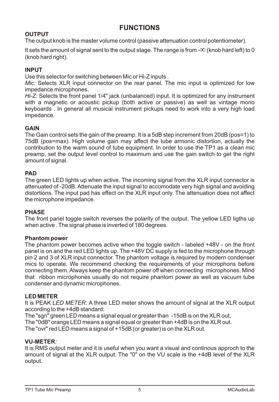# **FUNCTIONS**

### **OUTPUT**

The output knob is the master volume control (passive attenuation control potentiometer).

It sets the amount of signal sent to the output stage. The range is from  $-\infty$  (knob hard left) to 0 (knob hard right).  $\infty$  (knob hard left) to 0

#### **INPUT**

Use this selector for switching between Mic or Hi-Z inputs .

*Mic:* Selects XLR input connector on the rear panel. The mic input is optimized for low impedance microphones.

*Hi-Z:* Selects the front panel 1/4" jack (unbalanced) input. It is optimized for any instrument with a magnetic or acoustic pickup (both active or passive) as well as vintage mono keyboards . In general all musical instrument pickups need to work into a very high load impedance.

#### **GAIN**

The Gain control sets the gain of the preamp. It is a5dB step increment from 20dB (pos=1) to 75dB (pos=max). High volume gain may affect the tube armonic distortion, actually the contribution to the warm sound of tube equipment. In order to use the TP1 as a clean mic preamp, set the output level control to maximum and use the gain switch to get the right amount of signal.

#### **PAD**

The green LED lights up when active. The incoming signal from the XLR input connector is attenuated of -20dB. Attenuate the input signal to accomodate very high signal and avoiding distortions. The input pad has effect on the XLR input only. The attenuation does not affect the microphone impedance.

#### **PHASE**

The front panel toggle switch reverses the polarity of the output. The yellow LED ligths up when active . The signal phase is inverted of 180 degrees.

#### **Phantom power**

The phantom power becomes active when the toggle switch - labeled +48V - on the front panel is on and the red LED lights up. The +48V DC supply is fed to the microphone through pin 2 and 3 of XLR input connector. The phantom voltage is required by modern condenser mics to operate. We recommend checking the requirements of your microphons before connecting them. Always keep the phantom power off when connecting microphones. Mind that ribbon microphones usually do not require phantom power as well as vacuum tube condenser and dynamic microphones.

#### **LED METER**

It is PEAK *LED METER:* A three LED meter shows the amount of signal at the XLR output according to the +4dB standard:

The "sgn" green LED means a signal equal or greater than -15dB is on the XLR out. The "0dB" orange LED meansa signal equal or greater than +4dB is on the XLR out. The "ovr" red LED means a signal of +15dB (or greater) is on the XLR out.

#### **VU-METER***:*

It is RMS output meter and it is useful when you want a visual and continous approch to the amount of signal at the XLR output. The "0" on the VU scale is the +4dB level of the XLR output.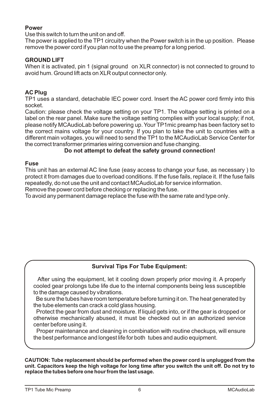#### **Power**

Use this switch to turn the unit on and off.

The power is applied to the TP1 circuitry when the Power switch is in the up position. Please remove the power cord if you plan not to use the preamp for a long period.

#### **GROUND LIFT**

When it is activated, pin 1 (signal ground on XLR connector) is not connected to ground to avoid hum. Ground lift acts on XLR output connector only.

#### **AC Plug**

TP1 uses a standard, detachable IEC power cord. Insert the AC power cord firmly into this socket.

Caution: please check the voltage setting on your TP1. The voltage setting is printed on a label on the rear panel. Make sure the voltage setting complies with your local supply; if not, please notify MCAudioLab before powering up. Your TP1mic preamphas been factory set to the correct mains voltage for your country. If you plan to take the unit to countries with a different main voltages, you will need to send the TP1to the MCAudioLab Service Center for the correct transformer primaries wiring conversion and fuse changing.

#### **Do not attempt to defeat the safety ground connection!**

#### **Fuse**

This unit has an external AC line fuse (easy access to change your fuse, as necessary ) to protect it from damages due to overload conditions. If the fuse fails, replace it. If the fuse fails repeatedly, do not use the unit and contact MCAudioLab for service information.

Remove the power cord before checking or replacing the fuse.

To avoid any permanent damage replace the fuse with the same rate and type only.

#### **Survival Tips For Tube Equipment:**

 After using the equipment, let it cooling down properly prior moving it. A properly cooled gear prolongs tube life due to the internal components being less susceptible to the damage caused by vibrations.

Be sure the tubes have room temperature before turning it on. The heat generated by the tube elements can crack a cold glass housing.

Protect the gear from dust and moisture. If liquid gets into, or if the gear is dropped or otherwise mechanically abused, it must be checked out in an authorized service center before using it.

Proper maintenance and cleaning in combination with routine checkups, will ensure the best performance and longest life for both tubes and audio equipment.

**CAUTION: Tube replacement should be performed when the power cord is unplugged from the unit. Capacitors keep the high voltage for long time after you switch the unit off. Do not try to replace the tubes before one hour from the last usage.**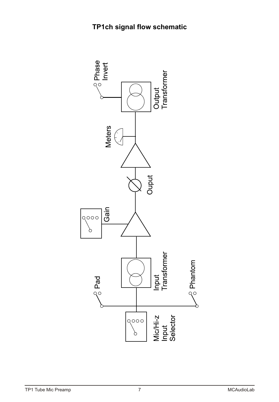